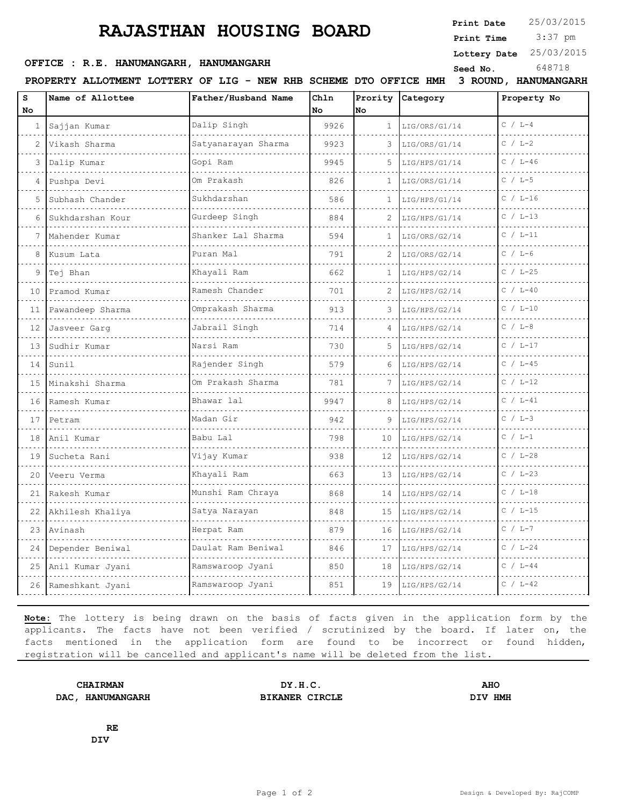## **RAJASTHAN HOUSING BOARD**

**Print Date**  $25/03/2015$ 

 3:37 pm **Print Time**

**Lottery Date** 25/03/2015

## **OFFICE : R.E. HANUMANGARH, HANUMANGARH** Seed No. 648718

**PROPERTY ALLOTMENT LOTTERY OF LIG - NEW RHB SCHEME DTO OFFICE HMH 3 ROUND, HANUMANGARH**

| s<br>No.       | Name of Allottee    | Father/Husband Name                | Chln<br>No | <b>No</b>      | Prority Category | Property No  |
|----------------|---------------------|------------------------------------|------------|----------------|------------------|--------------|
|                | 1 Sajjan Kumar      | Dalip Singh<br>.                   | 9926       | 1              | LIG/ORS/G1/14    | $C / L-4$    |
| $\overline{c}$ | Vikash Sharma       | Satyanarayan Sharma                | 9923       |                | LIG/ORS/G1/14    | $C / L-2$    |
| 3              | Dalip Kumar         | Gopi Ram                           | 9945       | 5              | LIG/HPS/G1/14    | $C / L - 46$ |
| 4              | Pushpa Devi         | Om Prakash<br><b>September 200</b> | 826        | $\mathbf{1}$   | LIG/ORS/G1/14    | $C / L-5$    |
| 5              | Subhash Chander     | Sukhdarshan                        | 586        |                | LIG/HPS/G1/14    | $C / L - 16$ |
| 6              | Sukhdarshan Kour    | Gurdeep Singh                      | 884        | 2              | LIG/HPS/G1/14    | $C / L-13$   |
|                | Mahender Kumar      | Shanker Lal Sharma                 | 594        | 1              | LIG/ORS/G2/14    | $C / L-11$   |
| 8              | Kusum Lata          | Puran Mal                          | 791        | $\overline{c}$ | LIG/ORS/G2/14    | $C / L - 6$  |
| 9              | Tej Bhan            | Khayali Ram                        | 662        | 1              | LIG/HPS/G2/14    | $C / L - 25$ |
| 10             | Pramod Kumar        | Ramesh Chander                     | 701        | 2              | LIG/HPS/G2/14    | $C / L - 40$ |
| 11             | Pawandeep Sharma    | Omprakash Sharma                   | 913        | 3              | LIG/HPS/G2/14    | $C / L - 10$ |
| 12             | Jasveer Garg        | Jabrail Singh                      | 714        | 4              | LIG/HPS/G2/14    | $C / L-8$    |
| 13             | Sudhir Kumar        | Narsi Ram                          | 730        | 5              | LIG/HPS/G2/14    | $C / L - 17$ |
| 14             | Sunil               | Rajender Singh                     | 579        | 6              | LIG/HPS/G2/14    | $C / L - 45$ |
| 15             | Minakshi Sharma     | Om Prakash Sharma                  | 781        |                | LIG/HPS/G2/14    | $C / L - 12$ |
| 16             | Ramesh Kumar        | Bhawar lal                         | 9947       | 8              | LIG/HPS/G2/14    | $C / L - 41$ |
| 17             | Petram              | Madan Gir                          | 942        | 9              | LIG/HPS/G2/14    | $C / L-3$    |
| 18             | Anil Kumar          | Babu Lal                           | 798        | 10             | LIG/HPS/G2/14    | $C / L-1$    |
| 19             | Sucheta Rani        | Vijay Kumar                        | 938        | 12             | LIG/HPS/G2/14    | $C / L - 28$ |
| 20             | Veeru Verma         | Khayali Ram                        | 663        | 13             | LIG/HPS/G2/14    | $C / L - 23$ |
| 21             | Rakesh Kumar        | Munshi Ram Chraya<br>.             | 868        | 14             | LIG/HPS/G2/14    | $C / L-18$   |
| 22             | Akhilesh Khaliya    | Satya Narayan                      | 848        | 15             | LIG/HPS/G2/14    | $C / L - 15$ |
| 23             | Avinash             | Herpat Ram                         | 879        | 16             | LIG/HPS/G2/14    | $C / L-7$    |
| 24             | Depender Beniwal    | Daulat Ram Beniwal                 | 846        | 17             | LIG/HPS/G2/14    | $C / L - 24$ |
|                | 25 Anil Kumar Jyani | Ramswaroop Jyani                   | 850        | 18             | LIG/HPS/G2/14    | $C / L - 44$ |
|                | 26 Rameshkant Jyani | Ramswaroop Jyani                   | 851        | 19             | LIG/HPS/G2/14    | $C / L - 42$ |

**Note:** The lottery is being drawn on the basis of facts given in the application form by the applicants. The facts have not been verified / scrutinized by the board. If later on, the facts mentioned in the application form are found to be incorrect or found hidden, registration will be cancelled and applicant's name will be deleted from the list.

**DAC, HANUMANGARH BIKANER CIRCLE DIV HMH**

**CHAIRMAN DY.H.C. AHO**

**RE DIV**